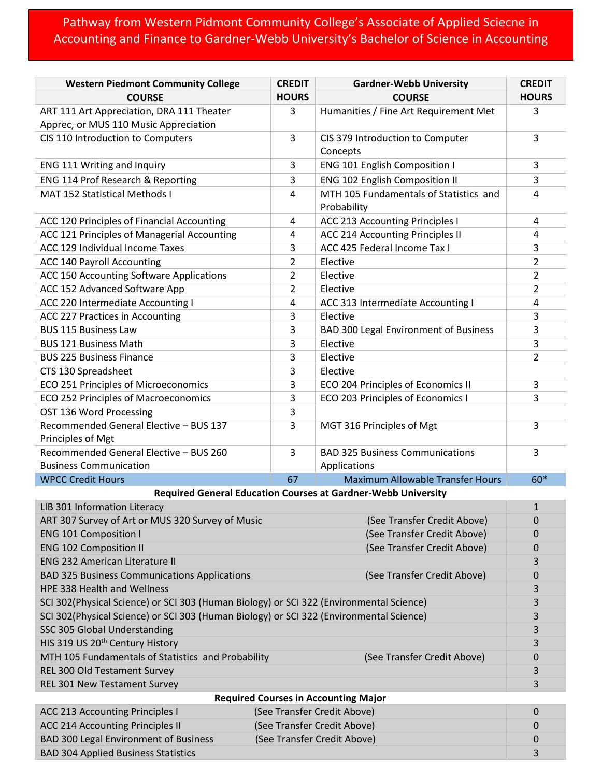## Pathway from Western Pidmont Community College's Associate of Applied Sciecne in Accounting and Finance to Gardner-Webb University's Bachelor of Science in Accounting

| <b>Western Piedmont Community College</b>                                               | <b>CREDIT</b>                         | <b>Gardner-Webb University</b>                             | <b>CREDIT</b>  |  |  |  |  |
|-----------------------------------------------------------------------------------------|---------------------------------------|------------------------------------------------------------|----------------|--|--|--|--|
| <b>COURSE</b>                                                                           | <b>HOURS</b>                          | <b>COURSE</b>                                              | <b>HOURS</b>   |  |  |  |  |
| ART 111 Art Appreciation, DRA 111 Theater                                               | 3                                     | Humanities / Fine Art Requirement Met                      | 3              |  |  |  |  |
| Apprec, or MUS 110 Music Appreciation                                                   |                                       |                                                            |                |  |  |  |  |
| CIS 110 Introduction to Computers                                                       | 3<br>CIS 379 Introduction to Computer |                                                            | 3              |  |  |  |  |
|                                                                                         |                                       | Concepts                                                   |                |  |  |  |  |
| ENG 111 Writing and Inquiry                                                             | 3                                     | <b>ENG 101 English Composition I</b>                       | 3              |  |  |  |  |
| ENG 114 Prof Research & Reporting                                                       | 3                                     | <b>ENG 102 English Composition II</b>                      | 3              |  |  |  |  |
| <b>MAT 152 Statistical Methods I</b>                                                    | 4                                     | MTH 105 Fundamentals of Statistics and<br>Probability      | 4              |  |  |  |  |
| ACC 120 Principles of Financial Accounting                                              | 4                                     | <b>ACC 213 Accounting Principles I</b>                     | 4              |  |  |  |  |
| ACC 121 Principles of Managerial Accounting                                             | 4                                     | ACC 214 Accounting Principles II                           | 4              |  |  |  |  |
| ACC 129 Individual Income Taxes                                                         | 3                                     | ACC 425 Federal Income Tax I                               | 3              |  |  |  |  |
| <b>ACC 140 Payroll Accounting</b>                                                       | $\overline{2}$                        | Elective                                                   | $\overline{2}$ |  |  |  |  |
| ACC 150 Accounting Software Applications                                                | $\overline{2}$                        | Elective                                                   | $\overline{2}$ |  |  |  |  |
| ACC 152 Advanced Software App                                                           | $\overline{2}$                        | Elective                                                   | $\overline{2}$ |  |  |  |  |
| ACC 220 Intermediate Accounting I                                                       | 4                                     | ACC 313 Intermediate Accounting I                          | 4              |  |  |  |  |
| ACC 227 Practices in Accounting                                                         | 3                                     | Elective                                                   | 3              |  |  |  |  |
| <b>BUS 115 Business Law</b>                                                             | 3                                     | <b>BAD 300 Legal Environment of Business</b>               | 3              |  |  |  |  |
| <b>BUS 121 Business Math</b>                                                            | 3                                     | Elective                                                   | 3              |  |  |  |  |
| <b>BUS 225 Business Finance</b>                                                         | 3                                     | Elective                                                   | $\overline{2}$ |  |  |  |  |
| CTS 130 Spreadsheet                                                                     | 3                                     | Elective                                                   |                |  |  |  |  |
| ECO 251 Principles of Microeconomics                                                    | 3                                     | ECO 204 Principles of Economics II                         | 3              |  |  |  |  |
| ECO 252 Principles of Macroeconomics                                                    | 3                                     | ECO 203 Principles of Economics I                          | 3              |  |  |  |  |
|                                                                                         |                                       |                                                            |                |  |  |  |  |
| OST 136 Word Processing<br>Recommended General Elective - BUS 137                       | 3<br>3                                |                                                            | 3              |  |  |  |  |
| Principles of Mgt                                                                       |                                       | MGT 316 Principles of Mgt                                  |                |  |  |  |  |
| Recommended General Elective - BUS 260                                                  | 3                                     | <b>BAD 325 Business Communications</b>                     | 3              |  |  |  |  |
| <b>Business Communication</b>                                                           |                                       | Applications                                               |                |  |  |  |  |
| <b>WPCC Credit Hours</b>                                                                | 67                                    | <b>Maximum Allowable Transfer Hours</b>                    | 60*            |  |  |  |  |
| <b>Required General Education Courses at Gardner-Webb University</b><br>$\mathbf{1}$    |                                       |                                                            |                |  |  |  |  |
| LIB 301 Information Literacy                                                            |                                       |                                                            |                |  |  |  |  |
| ART 307 Survey of Art or MUS 320 Survey of Music<br>(See Transfer Credit Above)         |                                       |                                                            | 0              |  |  |  |  |
| <b>ENG 101 Composition I</b>                                                            |                                       | (See Transfer Credit Above)<br>(See Transfer Credit Above) |                |  |  |  |  |
| <b>ENG 102 Composition II</b>                                                           |                                       | 0<br>3                                                     |                |  |  |  |  |
| <b>ENG 232 American Literature II</b>                                                   |                                       |                                                            |                |  |  |  |  |
| <b>BAD 325 Business Communications Applications</b><br>(See Transfer Credit Above)      |                                       |                                                            |                |  |  |  |  |
| HPE 338 Health and Wellness                                                             |                                       |                                                            |                |  |  |  |  |
| SCI 302(Physical Science) or SCI 303 (Human Biology) or SCI 322 (Environmental Science) |                                       |                                                            |                |  |  |  |  |
| SCI 302(Physical Science) or SCI 303 (Human Biology) or SCI 322 (Environmental Science) |                                       |                                                            |                |  |  |  |  |
| SSC 305 Global Understanding                                                            |                                       |                                                            |                |  |  |  |  |
| HIS 319 US 20 <sup>th</sup> Century History                                             |                                       |                                                            |                |  |  |  |  |
| MTH 105 Fundamentals of Statistics and Probability<br>(See Transfer Credit Above)       |                                       |                                                            |                |  |  |  |  |
| REL 300 Old Testament Survey                                                            |                                       |                                                            |                |  |  |  |  |
| REL 301 New Testament Survey                                                            |                                       |                                                            | 3              |  |  |  |  |
| <b>Required Courses in Accounting Major</b>                                             |                                       |                                                            |                |  |  |  |  |
| <b>ACC 213 Accounting Principles I</b><br>(See Transfer Credit Above)                   |                                       |                                                            |                |  |  |  |  |
| <b>ACC 214 Accounting Principles II</b>                                                 | (See Transfer Credit Above)           |                                                            |                |  |  |  |  |
| <b>BAD 300 Legal Environment of Business</b><br>(See Transfer Credit Above)             |                                       |                                                            |                |  |  |  |  |
| <b>BAD 304 Applied Business Statistics</b>                                              |                                       |                                                            |                |  |  |  |  |